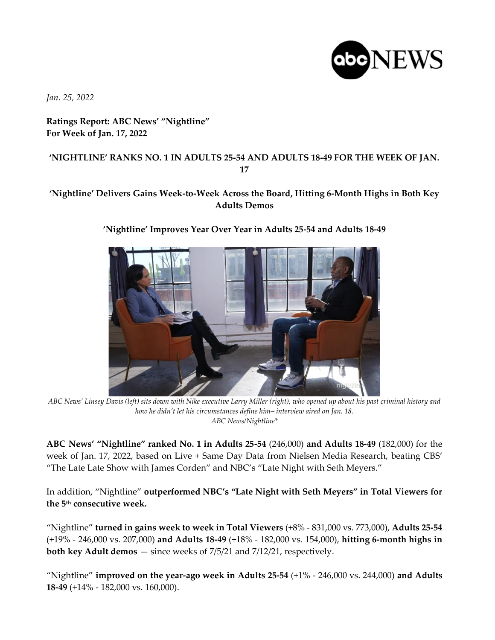

*Jan. 25, 2022*

## **Ratings Report: ABC News' "Nightline" For Week of Jan. 17, 2022**

## **'NIGHTLINE' RANKS NO. 1 IN ADULTS 25-54 AND ADULTS 18-49 FOR THE WEEK OF JAN. 17**

## **'Nightline' Delivers Gains Week-to-Week Across the Board, Hitting 6-Month Highs in Both Key Adults Demos**



## **'Nightline' Improves Year Over Year in Adults 25-54 and Adults 18-49**

*ABC News' Linsey Davis (left) sits down with Nike executive Larry Miller (right), who opened up about his past criminal history and how he didn't let his circumstances define him– interview aired on Jan. 18. ABC News/Nightline\**

**ABC News' "Nightline" ranked No. 1 in Adults 25-54** (246,000) **and Adults 18-49** (182,000) for the week of Jan. 17, 2022, based on Live + Same Day Data from Nielsen Media Research, beating CBS' "The Late Late Show with James Corden" and NBC's "Late Night with Seth Meyers."

In addition, "Nightline" **outperformed NBC's "Late Night with Seth Meyers" in Total Viewers for the 5th consecutive week.**

"Nightline" **turned in gains week to week in Total Viewers** (+8% - 831,000 vs. 773,000), **Adults 25-54** (+19% - 246,000 vs. 207,000) **and Adults 18-49** (+18% - 182,000 vs. 154,000), **hitting 6-month highs in both key Adult demos** — since weeks of 7/5/21 and 7/12/21, respectively.

"Nightline" **improved on the year-ago week in Adults 25-54** (+1% - 246,000 vs. 244,000) **and Adults 18-49** (+14% - 182,000 vs. 160,000).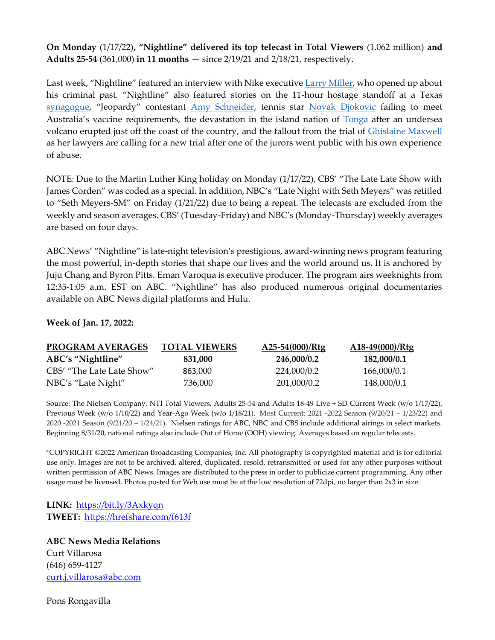**On Monday** (1/17/22)**, "Nightline" delivered its top telecast in Total Viewers** (1.062 million) **and Adults 25-54** (361,000) **in 11 months** — since 2/19/21 and 2/18/21, respectively.

Last week, "Nightline" featured an interview with Nike executive [Larry Miller,](https://abcnews.go.com/Nightline/video/chairman-iconic-nike-sports-brand-opens-criminal-past-82344129) who opened up about his criminal past. "Nightline" also featured stories on the 11-hour hostage standoff at a Texas [synagogue,](https://abcnews.go.com/Nightline/video/details-emerge-11-hour-hostage-situation-texas-synagogue-82321287) "Jeopardy" contestant [Amy Schneider,](https://abcnews.go.com/Nightline/video/jeopardy-wiz-amy-schneider-winningest-woman-show-history-82344188) tennis star [Novak Djokovic](https://abcnews.go.com/Nightline/video/star-athletes-controversial-stance-covid-19-82193347) failing to meet Australia's vaccine requirements, the devastation in the island nation of [Tonga](https://abcnews.go.com/Nightline/video/challenges-arise-bringing-needed-aid-island-nation-tonga-82368511) after an undersea volcano erupted just off the coast of the country, and the fallout from the trial of [Ghislaine Maxwell](https://abcnews.go.com/Nightline/video/jeffrey-epsteins-associate-ghislaine-maxwell-officially-requests-trial-82391657) as her lawyers are calling for a new trial after one of the jurors went public with his own experience of abuse.

NOTE: Due to the Martin Luther King holiday on Monday (1/17/22), CBS' "The Late Late Show with James Corden" was coded as a special. In addition, NBC's "Late Night with Seth Meyers" was retitled to "Seth Meyers-SM" on Friday (1/21/22) due to being a repeat. The telecasts are excluded from the weekly and season averages. CBS' (Tuesday-Friday) and NBC's (Monday-Thursday) weekly averages are based on four days.

ABC News' "Nightline" is late-night television's prestigious, award-winning news program featuring the most powerful, in-depth stories that shape our lives and the world around us. It is anchored by Juju Chang and Byron Pitts. Eman Varoqua is executive producer. The program airs weeknights from 12:35-1:05 a.m. EST on ABC. "Nightline" has also produced numerous original documentaries available on ABC News digital platforms and Hulu.

**Week of Jan. 17, 2022:**

| <b>PROGRAM AVERAGES</b>   | <b>TOTAL VIEWERS</b> | A25-54(000)/Rtg | $A18-49(000)/Rtg$ |
|---------------------------|----------------------|-----------------|-------------------|
| ABC's "Nightline"         | 831.000              | 246,000/0.2     | 182,000/0.1       |
| CBS' "The Late Late Show" | 863,000              | 224.000/0.2     | 166,000/0.1       |
| NBC's "Late Night"        | 736.000              | 201,000/0.2     | 148,000/0.1       |

Source: The Nielsen Company, NTI Total Viewers, Adults 25-54 and Adults 18-49 Live + SD Current Week (w/o 1/17/22), Previous Week (w/o 1/10/22) and Year-Ago Week (w/o 1/18/21). Most Current: 2021 -2022 Season (9/20/21 – 1/23/22) and 2020 -2021 Season (9/21/20 – 1/24/21). Nielsen ratings for ABC, NBC and CBS include additional airings in select markets. Beginning 8/31/20, national ratings also include Out of Home (OOH) viewing. Averages based on regular telecasts.

\*COPYRIGHT ©2022 American Broadcasting Companies, Inc. All photography is copyrighted material and is for editorial use only. Images are not to be archived, altered, duplicated, resold, retransmitted or used for any other purposes without written permission of ABC News. Images are distributed to the press in order to publicize current programming. Any other usage must be licensed. Photos posted for Web use must be at the low resolution of 72dpi, no larger than 2x3 in size.

**LINK:** <https://bit.ly/3Axkyqn> **TWEET:** <https://hrefshare.com/f613f>

**ABC News Media Relations** Curt Villarosa (646) 659-4127 [curt.j.villarosa@abc.com](mailto:curt.j.villarosa@abc.com)

Pons Rongavilla